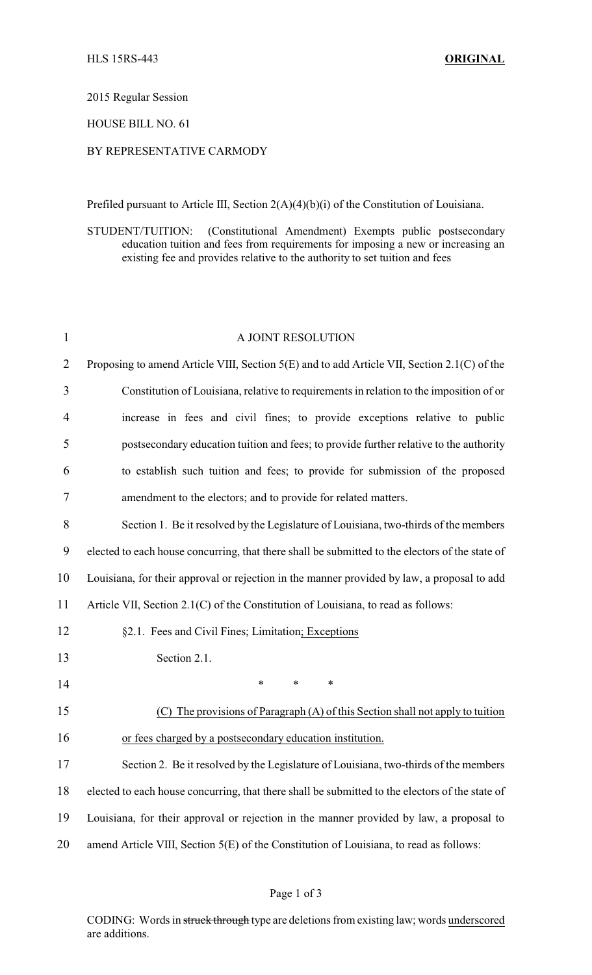2015 Regular Session

HOUSE BILL NO. 61

## BY REPRESENTATIVE CARMODY

Prefiled pursuant to Article III, Section 2(A)(4)(b)(i) of the Constitution of Louisiana.

STUDENT/TUITION: (Constitutional Amendment) Exempts public postsecondary education tuition and fees from requirements for imposing a new or increasing an existing fee and provides relative to the authority to set tuition and fees

| $\mathbf{1}$   | A JOINT RESOLUTION                                                                              |
|----------------|-------------------------------------------------------------------------------------------------|
| $\overline{2}$ | Proposing to amend Article VIII, Section 5(E) and to add Article VII, Section 2.1(C) of the     |
| 3              | Constitution of Louisiana, relative to requirements in relation to the imposition of or         |
| 4              | increase in fees and civil fines; to provide exceptions relative to public                      |
| 5              | postsecondary education tuition and fees; to provide further relative to the authority          |
| 6              | to establish such tuition and fees; to provide for submission of the proposed                   |
| 7              | amendment to the electors; and to provide for related matters.                                  |
| 8              | Section 1. Be it resolved by the Legislature of Louisiana, two-thirds of the members            |
| 9              | elected to each house concurring, that there shall be submitted to the electors of the state of |
| 10             | Louisiana, for their approval or rejection in the manner provided by law, a proposal to add     |
| 11             | Article VII, Section 2.1(C) of the Constitution of Louisiana, to read as follows:               |
| 12             | §2.1. Fees and Civil Fines; Limitation; Exceptions                                              |
| 13             | Section 2.1.                                                                                    |
| 14             | $\ast$<br>$\ast$<br>$\ast$                                                                      |
| 15             | (C) The provisions of Paragraph $(A)$ of this Section shall not apply to tuition                |
| 16             | or fees charged by a postsecondary education institution.                                       |
| 17             | Section 2. Be it resolved by the Legislature of Louisiana, two-thirds of the members            |
| 18             | elected to each house concurring, that there shall be submitted to the electors of the state of |
| 19             | Louisiana, for their approval or rejection in the manner provided by law, a proposal to         |
| 20             | amend Article VIII, Section 5(E) of the Constitution of Louisiana, to read as follows:          |
|                |                                                                                                 |

CODING: Words in struck through type are deletions from existing law; words underscored are additions.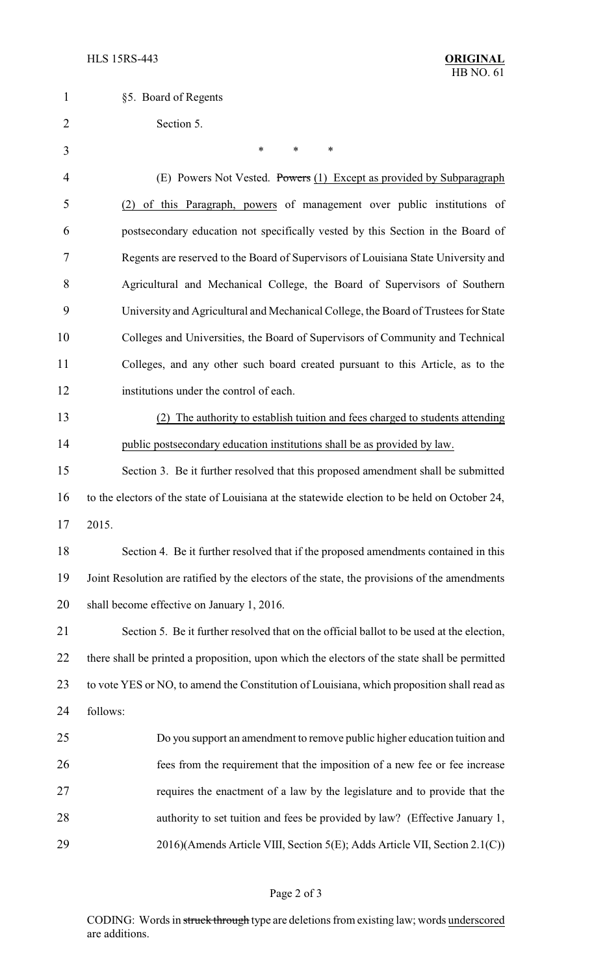| $\mathbf{1}$   | §5. Board of Regents                                                                          |
|----------------|-----------------------------------------------------------------------------------------------|
| $\overline{2}$ | Section 5.                                                                                    |
| 3              | $\ast$<br>*<br>∗                                                                              |
| 4              | (E) Powers Not Vested. Powers (1) Except as provided by Subparagraph                          |
| 5              | (2) of this Paragraph, powers of management over public institutions of                       |
| 6              | postsecondary education not specifically vested by this Section in the Board of               |
| 7              | Regents are reserved to the Board of Supervisors of Louisiana State University and            |
| 8              | Agricultural and Mechanical College, the Board of Supervisors of Southern                     |
| 9              | University and Agricultural and Mechanical College, the Board of Trustees for State           |
| 10             | Colleges and Universities, the Board of Supervisors of Community and Technical                |
| 11             | Colleges, and any other such board created pursuant to this Article, as to the                |
| 12             | institutions under the control of each.                                                       |
| 13             | (2) The authority to establish tuition and fees charged to students attending                 |
| 14             | public postsecondary education institutions shall be as provided by law.                      |
| 15             | Section 3. Be it further resolved that this proposed amendment shall be submitted             |
| 16             | to the electors of the state of Louisiana at the statewide election to be held on October 24, |
| 17             | 2015.                                                                                         |
| 18             | Section 4. Be it further resolved that if the proposed amendments contained in this           |
| 19             | Joint Resolution are ratified by the electors of the state, the provisions of the amendments  |
| 20             | shall become effective on January 1, 2016.                                                    |
| 21             | Section 5. Be it further resolved that on the official ballot to be used at the election,     |
| 22             | there shall be printed a proposition, upon which the electors of the state shall be permitted |
| 23             | to vote YES or NO, to amend the Constitution of Louisiana, which proposition shall read as    |
| 24             | follows:                                                                                      |
| 25             | Do you support an amendment to remove public higher education tuition and                     |
| 26             | fees from the requirement that the imposition of a new fee or fee increase                    |
| 27             | requires the enactment of a law by the legislature and to provide that the                    |
| 28             | authority to set tuition and fees be provided by law? (Effective January 1,                   |
| 29             | 2016)(Amends Article VIII, Section 5(E); Adds Article VII, Section 2.1(C))                    |

## Page 2 of 3

CODING: Words in struck through type are deletions from existing law; words underscored are additions.